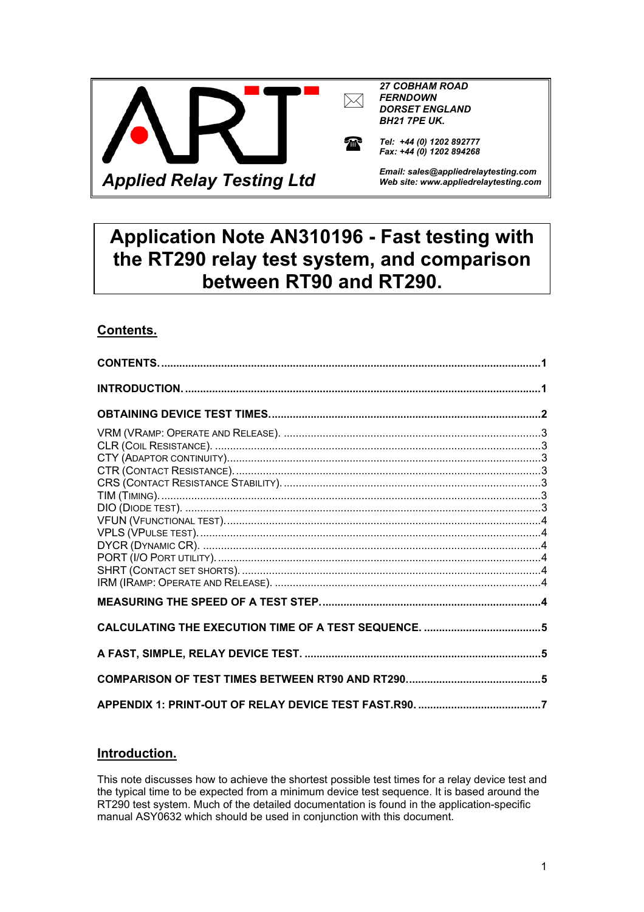<span id="page-0-0"></span>

# **Application Note AN310196 - Fast testing with the RT290 relay test system, and comparison between RT90 and RT290.**

# **Contents.**

# **Introduction.**

This note discusses how to achieve the shortest possible test times for a relay device test and the typical time to be expected from a minimum device test sequence. It is based around the RT290 test system. Much of the detailed documentation is found in the application-specific manual ASY0632 which should be used in conjunction with this document.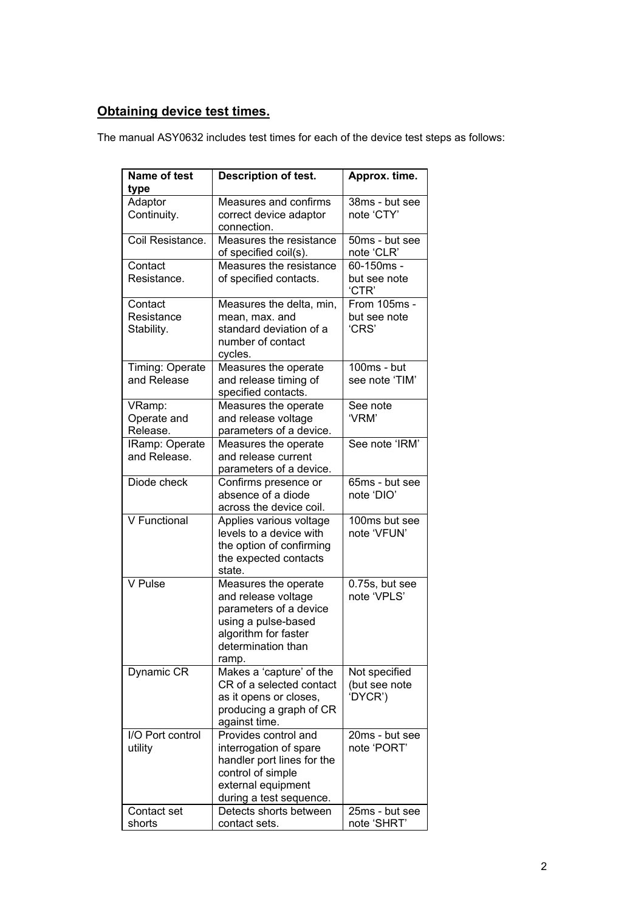# <span id="page-1-0"></span>**Obtaining device test times.**

The manual ASY0632 includes test times for each of the device test steps as follows:

| <b>Name of test</b><br>type         | <b>Description of test.</b>                                                                                                                         | Approx. time.                             |
|-------------------------------------|-----------------------------------------------------------------------------------------------------------------------------------------------------|-------------------------------------------|
| Adaptor<br>Continuity.              | Measures and confirms<br>correct device adaptor<br>connection.                                                                                      | 38ms - but see<br>note 'CTY'              |
| Coil Resistance.                    | Measures the resistance<br>of specified coil(s).                                                                                                    | 50ms - but see<br>note 'CLR'              |
| Contact<br>Resistance.              | Measures the resistance<br>of specified contacts.                                                                                                   | 60-150ms -<br>but see note<br>'CTR'       |
| Contact<br>Resistance<br>Stability. | Measures the delta, min,<br>mean, max. and<br>standard deviation of a<br>number of contact<br>cycles.                                               | From 105ms -<br>but see note<br>'CRS'     |
| Timing: Operate<br>and Release      | Measures the operate<br>and release timing of<br>specified contacts.                                                                                | $100ms - but$<br>see note 'TIM'           |
| VRamp:<br>Operate and<br>Release.   | Measures the operate<br>and release voltage<br>parameters of a device.                                                                              | See note<br>'VRM'                         |
| IRamp: Operate<br>and Release.      | Measures the operate<br>and release current<br>parameters of a device.                                                                              | See note 'IRM'                            |
| Diode check                         | Confirms presence or<br>absence of a diode<br>across the device coil.                                                                               | 65ms - but see<br>note 'DIO'              |
| V Functional                        | Applies various voltage<br>levels to a device with<br>the option of confirming<br>the expected contacts<br>state.                                   | 100ms but see<br>note 'VFUN'              |
| V Pulse                             | Measures the operate<br>and release voltage<br>parameters of a device<br>using a pulse-based<br>algorithm for faster<br>determination than<br>ramp. | 0.75s, but see<br>note 'VPLS'             |
| Dynamic CR                          | Makes a 'capture' of the<br>CR of a selected contact<br>as it opens or closes,<br>producing a graph of CR<br>against time.                          | Not specified<br>(but see note<br>'DYCR') |
| I/O Port control<br>utility         | Provides control and<br>interrogation of spare<br>handler port lines for the<br>control of simple<br>external equipment<br>during a test sequence.  | 20ms - but see<br>note 'PORT'             |
| Contact set<br>shorts               | Detects shorts between<br>contact sets.                                                                                                             | 25ms - but see<br>note 'SHRT'             |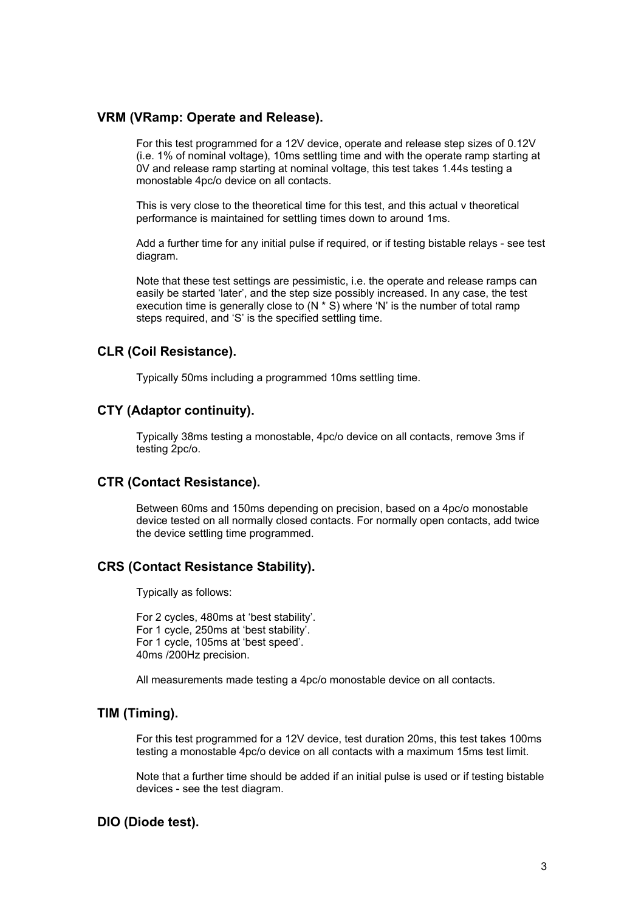#### <span id="page-2-0"></span>**VRM (VRamp: Operate and Release).**

For this test programmed for a 12V device, operate and release step sizes of 0.12V (i.e. 1% of nominal voltage), 10ms settling time and with the operate ramp starting at 0V and release ramp starting at nominal voltage, this test takes 1.44s testing a monostable 4pc/o device on all contacts.

This is very close to the theoretical time for this test, and this actual v theoretical performance is maintained for settling times down to around 1ms.

Add a further time for any initial pulse if required, or if testing bistable relays - see test diagram.

Note that these test settings are pessimistic, i.e. the operate and release ramps can easily be started 'later', and the step size possibly increased. In any case, the test execution time is generally close to  $(N * S)$  where 'N' is the number of total ramp steps required, and 'S' is the specified settling time.

## **CLR (Coil Resistance).**

Typically 50ms including a programmed 10ms settling time.

## **CTY (Adaptor continuity).**

Typically 38ms testing a monostable, 4pc/o device on all contacts, remove 3ms if testing 2pc/o.

## **CTR (Contact Resistance).**

Between 60ms and 150ms depending on precision, based on a 4pc/o monostable device tested on all normally closed contacts. For normally open contacts, add twice the device settling time programmed.

## **CRS (Contact Resistance Stability).**

Typically as follows:

For 2 cycles, 480ms at 'best stability'. For 1 cycle, 250ms at 'best stability'. For 1 cycle, 105ms at 'best speed'. 40ms /200Hz precision.

All measurements made testing a 4pc/o monostable device on all contacts.

# **TIM (Timing).**

For this test programmed for a 12V device, test duration 20ms, this test takes 100ms testing a monostable 4pc/o device on all contacts with a maximum 15ms test limit.

Note that a further time should be added if an initial pulse is used or if testing bistable devices - see the test diagram.

#### **DIO (Diode test).**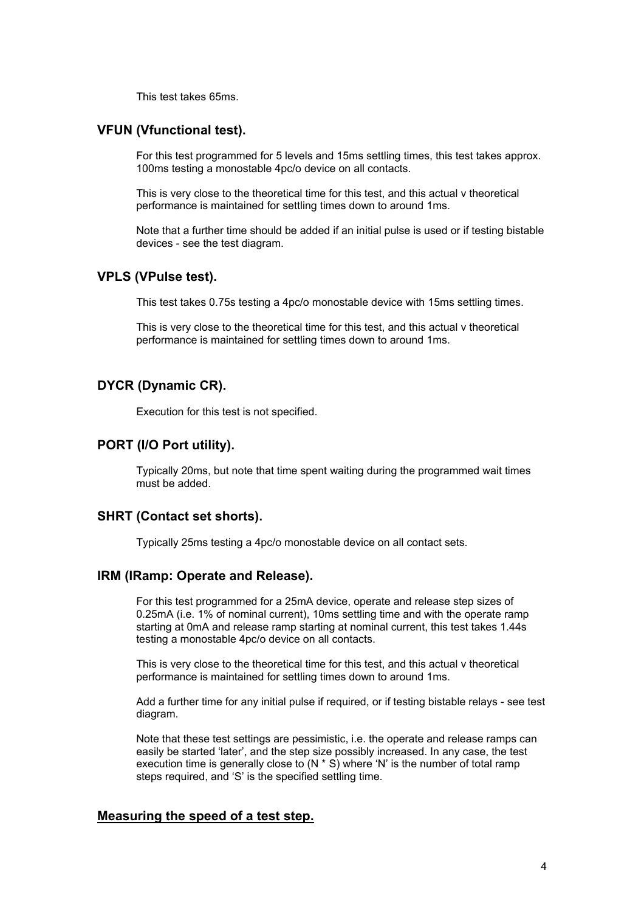This test takes 65ms.

# <span id="page-3-0"></span>**VFUN (Vfunctional test).**

For this test programmed for 5 levels and 15ms settling times, this test takes approx. 100ms testing a monostable 4pc/o device on all contacts.

This is very close to the theoretical time for this test, and this actual v theoretical performance is maintained for settling times down to around 1ms.

Note that a further time should be added if an initial pulse is used or if testing bistable devices - see the test diagram.

## **VPLS (VPulse test).**

This test takes 0.75s testing a 4pc/o monostable device with 15ms settling times.

This is very close to the theoretical time for this test, and this actual v theoretical performance is maintained for settling times down to around 1ms.

## **DYCR (Dynamic CR).**

Execution for this test is not specified.

#### **PORT (I/O Port utility).**

Typically 20ms, but note that time spent waiting during the programmed wait times must be added.

#### **SHRT (Contact set shorts).**

Typically 25ms testing a 4pc/o monostable device on all contact sets.

#### **IRM (IRamp: Operate and Release).**

For this test programmed for a 25mA device, operate and release step sizes of 0.25mA (i.e. 1% of nominal current), 10ms settling time and with the operate ramp starting at 0mA and release ramp starting at nominal current, this test takes 1.44s testing a monostable 4pc/o device on all contacts.

This is very close to the theoretical time for this test, and this actual v theoretical performance is maintained for settling times down to around 1ms.

Add a further time for any initial pulse if required, or if testing bistable relays - see test diagram.

Note that these test settings are pessimistic, i.e. the operate and release ramps can easily be started 'later', and the step size possibly increased. In any case, the test execution time is generally close to  $(N * S)$  where 'N' is the number of total ramp steps required, and 'S' is the specified settling time.

## **Measuring the speed of a test step.**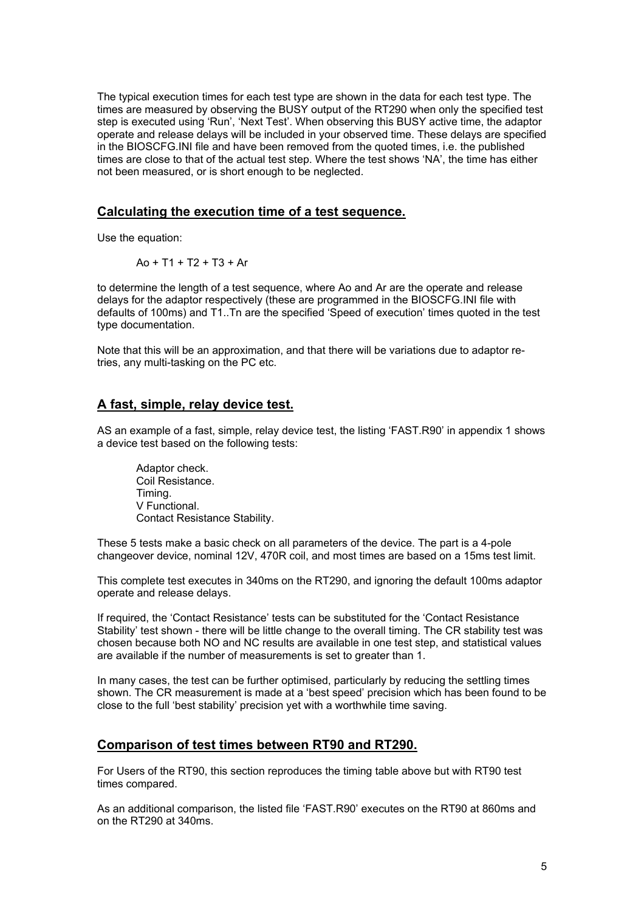<span id="page-4-0"></span>The typical execution times for each test type are shown in the data for each test type. The times are measured by observing the BUSY output of the RT290 when only the specified test step is executed using 'Run', 'Next Test'. When observing this BUSY active time, the adaptor operate and release delays will be included in your observed time. These delays are specified in the BIOSCFG.INI file and have been removed from the quoted times, i.e. the published times are close to that of the actual test step. Where the test shows 'NA', the time has either not been measured, or is short enough to be neglected.

## **Calculating the execution time of a test sequence.**

Use the equation:

$$
Ao + T1 + T2 + T3 + Ar
$$

to determine the length of a test sequence, where Ao and Ar are the operate and release delays for the adaptor respectively (these are programmed in the BIOSCFG.INI file with defaults of 100ms) and T1..Tn are the specified 'Speed of execution' times quoted in the test type documentation.

Note that this will be an approximation, and that there will be variations due to adaptor retries, any multi-tasking on the PC etc.

#### **A fast, simple, relay device test.**

AS an example of a fast, simple, relay device test, the listing 'FAST.R90' in appendix 1 shows a device test based on the following tests:

Adaptor check. Coil Resistance. Timing. V Functional. Contact Resistance Stability.

These 5 tests make a basic check on all parameters of the device. The part is a 4-pole changeover device, nominal 12V, 470R coil, and most times are based on a 15ms test limit.

This complete test executes in 340ms on the RT290, and ignoring the default 100ms adaptor operate and release delays.

If required, the 'Contact Resistance' tests can be substituted for the 'Contact Resistance Stability' test shown - there will be little change to the overall timing. The CR stability test was chosen because both NO and NC results are available in one test step, and statistical values are available if the number of measurements is set to greater than 1.

In many cases, the test can be further optimised, particularly by reducing the settling times shown. The CR measurement is made at a 'best speed' precision which has been found to be close to the full 'best stability' precision yet with a worthwhile time saving.

## **Comparison of test times between RT90 and RT290.**

For Users of the RT90, this section reproduces the timing table above but with RT90 test times compared.

As an additional comparison, the listed file 'FAST.R90' executes on the RT90 at 860ms and on the RT290 at 340ms.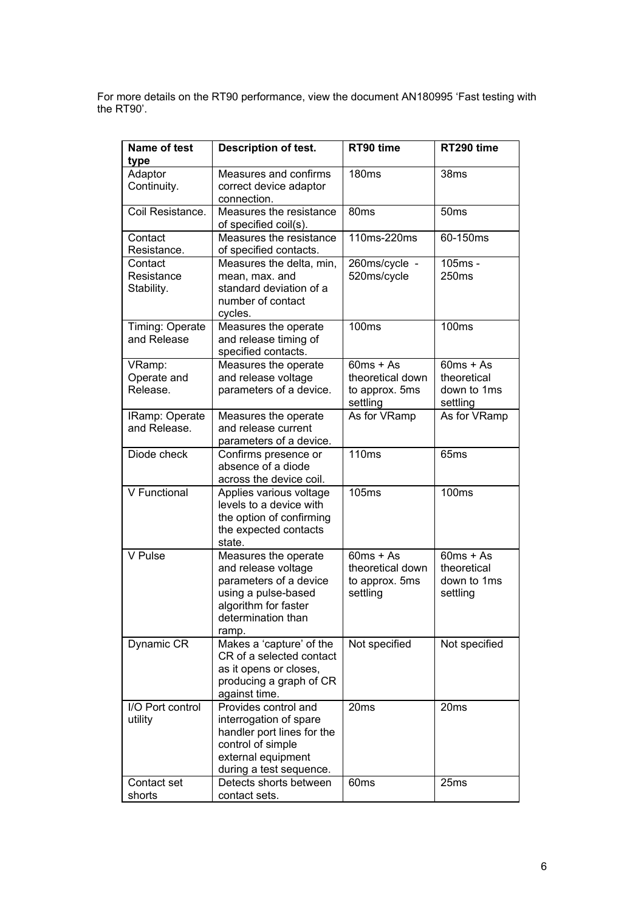For more details on the RT90 performance, view the document AN180995 'Fast testing with the RT90'.

| <b>Name of test</b><br>type         | <b>Description of test.</b>                                                                                                                         | RT90 time                                                     | RT290 time                                            |
|-------------------------------------|-----------------------------------------------------------------------------------------------------------------------------------------------------|---------------------------------------------------------------|-------------------------------------------------------|
| Adaptor<br>Continuity.              | Measures and confirms<br>correct device adaptor<br>connection.                                                                                      | 180 <sub>ms</sub>                                             | 38 <sub>ms</sub>                                      |
| Coil Resistance.                    | Measures the resistance<br>of specified coil(s).                                                                                                    | 80 <sub>ms</sub>                                              | 50 <sub>ms</sub>                                      |
| Contact<br>Resistance.              | Measures the resistance<br>of specified contacts.                                                                                                   | 110ms-220ms                                                   | 60-150ms                                              |
| Contact<br>Resistance<br>Stability. | Measures the delta, min,<br>mean, max. and<br>standard deviation of a<br>number of contact<br>cycles.                                               | 260ms/cycle -<br>520ms/cycle                                  | 105ms -<br>250ms                                      |
| Timing: Operate<br>and Release      | Measures the operate<br>and release timing of<br>specified contacts.                                                                                | <b>100ms</b>                                                  | <b>100ms</b>                                          |
| VRamp:<br>Operate and<br>Release.   | Measures the operate<br>and release voltage<br>parameters of a device.                                                                              | $60ms + As$<br>theoretical down<br>to approx. 5ms<br>settling | $60ms + As$<br>theoretical<br>down to 1ms<br>settling |
| IRamp: Operate<br>and Release.      | Measures the operate<br>and release current<br>parameters of a device.                                                                              | As for VRamp                                                  | As for VRamp                                          |
| Diode check                         | Confirms presence or<br>absence of a diode<br>across the device coil.                                                                               | <b>110ms</b>                                                  | 65 <sub>ms</sub>                                      |
| V Functional                        | Applies various voltage<br>levels to a device with<br>the option of confirming<br>the expected contacts<br>state.                                   | <b>105ms</b>                                                  | <b>100ms</b>                                          |
| V Pulse                             | Measures the operate<br>and release voltage<br>parameters of a device<br>using a pulse-based<br>algorithm for faster<br>determination than<br>ramp. | $60ms + As$<br>theoretical down<br>to approx. 5ms<br>settling | $60ms + As$<br>theoretical<br>down to 1ms<br>settling |
| Dynamic CR                          | Makes a 'capture' of the<br>CR of a selected contact<br>as it opens or closes,<br>producing a graph of CR<br>against time.                          | Not specified                                                 | Not specified                                         |
| I/O Port control<br>utility         | Provides control and<br>interrogation of spare<br>handler port lines for the<br>control of simple<br>external equipment<br>during a test sequence.  | 20 <sub>ms</sub>                                              | 20 <sub>ms</sub>                                      |
| Contact set<br>shorts               | Detects shorts between<br>contact sets.                                                                                                             | 60 <sub>ms</sub>                                              | 25 <sub>ms</sub>                                      |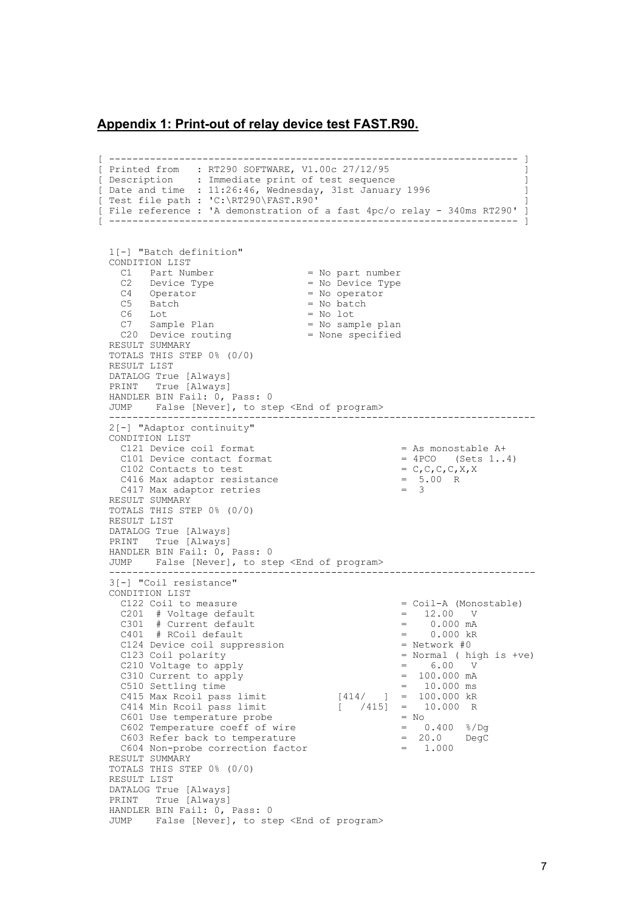#### <span id="page-6-0"></span>**Appendix 1: Print-out of relay device test FAST.R90.**

```
[ ---------------------------------------------------------------------- ] 
[ Printed from : RT290 SOFTWARE, V1.00c 27/12/95 ] 
[ Description : Immediate print of test sequence ]
[ Date and time : 11:26:46, Wednesday, 31st January 1996 ]
[ Test file path : 'C:\RT290\FAST.R90' ] 
[ File reference : 'A demonstration of a fast 4pc/o relay - 340ms RT290' ] 
[ ---------------------------------------------------------------------- ] 
   1[-] "Batch definition" 
   CONDITION LIST 
C1 Part Number = No part number
C2 Device Type = No Device Type
   C4 Operator<br>
C5 Batch = No operator<br>
C5 Batch = No batch
   \begin{array}{ccc} \text{C5} & \text{Batch} & = \text{No} \text{ batch} \\ \text{C6} & \text{Lot} & = \text{No} \text{ lot} \end{array}C7 Sample Plan
C7 Sample Plan = No sample plan
C20 Device routing = None specified
  RESULT SUMMARY
   TOTALS THIS STEP 0% (0/0) 
   RESULT LIST 
   DATALOG True [Always] 
   PRINT True [Always] 
  HANDLER BIN Fail: 0, Pass: 0
   JUMP False [Never], to step <End of program> 
        ------------------------------------------------------------------------- 
   2[-] "Adaptor continuity" 
   CONDITION LIST 
    C121 Device coil format \begin{array}{rcl} = & A \times 1 & 0 \\ = & A \times 1 & 0 \end{array} = As monostable A+
    C101 Device contact format = 4PCO (Sets 1..4) = 4PCO (Sets 1..4)
   C102 Contacts to test = C, C, C, C, X<br>C416 Max adaptor resistance = 5.00 R
    C416 Max adaptor resistance = 5<br>C417 Max adaptor retries = 3C417 Max adaptor retries
   RESULT SUMMARY 
   TOTALS THIS STEP 0% (0/0) 
   RESULT LIST 
   DATALOG True [Always] 
  PRINT True [Always]
  HANDLER BIN Fail: 0, Pass: 0 
   JUMP False [Never], to step <End of program> 
   ------------------------------------------------------------------------- 
   3[-] "Coil resistance" 
   CONDITION LIST 
    C122 Coil to measure C201 # Voltage default C301 # Current default C301 # Current default C301 = 0.000 mA
    C201 # Voltage default
    C301 # Current default C401 # RCoil default C401 = 0.000 kR
    C401 # RCoil default C124 Device coil suppression C124 = 0.000 kB
    C124 Device coil suppression<br>C123 Coil polarity
                                                         = Normal ( high is +ve)<br>= 6.00 V
    C210 Voltage to apply \begin{array}{ccc} \texttt{C210} & \texttt{Voltag} & \texttt{C310} \\ \texttt{C310} & \texttt{Current} & \texttt{to apply} \\ \end{array} = \begin{array}{ccc} 6.00 & \texttt{V} \\ \texttt{100.000 mA} \end{array}C310 Current to apply<br>C510 Settling time
 C510 Settling time = 10.000 ms 
 C415 Max Rcoil pass limit [414/ ] = 100.000 kR 
 C414 Min Rcoil pass limit [ /415] = 10.000 R 
C601 Use temperature probe = No
     C602 Temperature coeff of wire = 0.400 %/Dg 
    C603 Refer back to temperature C604 Non-probe correction factor C604 Non-probe correction factor C = 1.000
    C604 Non-probe correction factor
  RESULT SUMMARY
   TOTALS THIS STEP 0% (0/0) 
   RESULT LIST 
   DATALOG True [Always] 
   PRINT True [Always] 
  HANDLER BIN Fail: 0, Pass: 0
   JUMP False [Never], to step <End of program>
```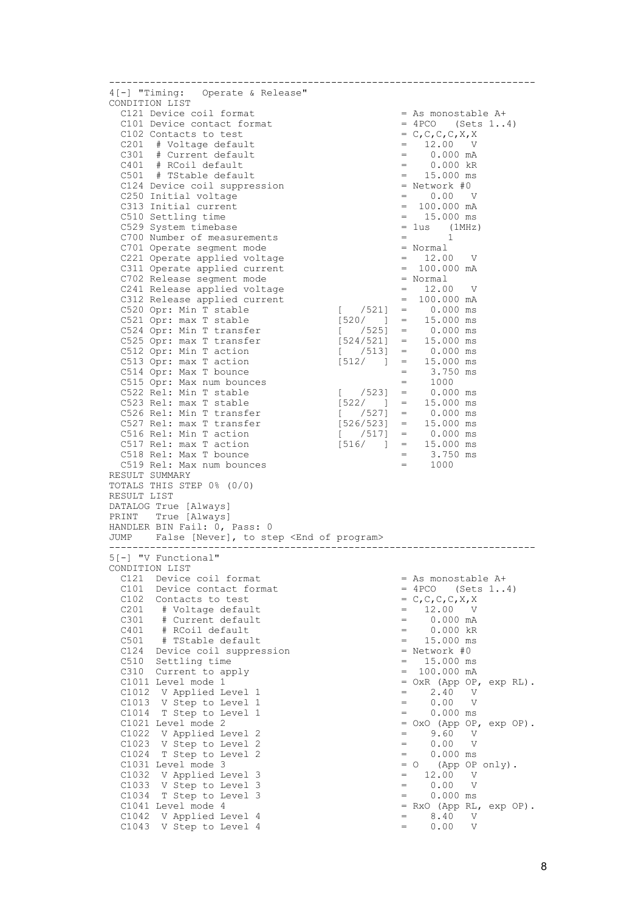| 4[-] "Timing: Operate & Release"<br>CONDITION LIST<br>C121 Device coil format                                                                                                                                                                  |                                                                      |
|------------------------------------------------------------------------------------------------------------------------------------------------------------------------------------------------------------------------------------------------|----------------------------------------------------------------------|
|                                                                                                                                                                                                                                                |                                                                      |
|                                                                                                                                                                                                                                                |                                                                      |
|                                                                                                                                                                                                                                                | = As monostable A+                                                   |
| C101 Device contact format                                                                                                                                                                                                                     | $= 4PCO$ (Sets 14)                                                   |
| C102 Contacts to test                                                                                                                                                                                                                          | $= C, C, C, C, X, X$                                                 |
| C201 # Voltage default<br>= $12.00 \text{ V}$<br>= $0.000 \text{ m}^2$<br>= $0.000 \text{ m}^2$<br>= $15.000 \text{ N}$<br>= $15.000 \text{ ms}$<br>= Network #0                                                                               | $= 12.00 V$<br>= 0.000 mA                                            |
| C301 # Current default                                                                                                                                                                                                                         |                                                                      |
| C401 # RCoil default                                                                                                                                                                                                                           | $= 0.000$ kR                                                         |
| C501 # TStable default                                                                                                                                                                                                                         | $= 15.000$ ms                                                        |
| C124 Device coil suppression                                                                                                                                                                                                                   |                                                                      |
| C250 Initial voltage                                                                                                                                                                                                                           | $= 0.00 V$                                                           |
| C313 Initial current                                                                                                                                                                                                                           | $= 100.000 mA$                                                       |
| C510 Settling time                                                                                                                                                                                                                             | $= 15.000$ ms                                                        |
| C529 System timebase                                                                                                                                                                                                                           | $= 1us$ (1MHz)                                                       |
| $=$ 1<br>C700 Number of measurements                                                                                                                                                                                                           |                                                                      |
| C701 Operate segment mode<br>= Normal                                                                                                                                                                                                          |                                                                      |
| C221 Operate applied voltage                                                                                                                                                                                                                   | $= 12.00 V$                                                          |
| C311 Operate applied current                                                                                                                                                                                                                   | $= 100.000 mA$                                                       |
| C702 Release segment mode                                                                                                                                                                                                                      | = Normal                                                             |
| C241 Release applied voltage                                                                                                                                                                                                                   | $= 12.00 V$                                                          |
| C312 Release applied current                                                                                                                                                                                                                   | $= 100.000 mA$                                                       |
|                                                                                                                                                                                                                                                |                                                                      |
| $\begin{bmatrix} 521 \end{bmatrix}$ = 0.000 ms<br>C520 Opr: Min T stable                                                                                                                                                                       |                                                                      |
|                                                                                                                                                                                                                                                |                                                                      |
| C520 Opr: Min T stable<br>C521 Opr: max T stable<br>C524 Opr: Min T transfer<br>C525 Opr: max T transfer<br>C525 Opr: max T transfer<br>C525 Opr: max T transfer<br>C524 Opr: max T transfer<br>C524 Opr: max T transfer<br>C524 Opr: max T tr |                                                                      |
|                                                                                                                                                                                                                                                |                                                                      |
| C512 Opr: Min T action [ /513] = 0.000 ms<br>C513 Opr: max T action [512/ ] = 15.000 ms                                                                                                                                                        |                                                                      |
|                                                                                                                                                                                                                                                |                                                                      |
| C514 Opr: Max T bounce                                                                                                                                                                                                                         | $=$ 3.750 ms<br>= 1000                                               |
| C515 Opr: Max num bounces                                                                                                                                                                                                                      |                                                                      |
| C522 Rel: Min T stable<br>C523 Rel: max T stable<br>C526 Rel: Min T transfer<br>C526 Rel: Min T transfer<br>C526 Rel: Min T transfer<br>C526 Rel: Min T transfer<br>C526 Rel: Min T transfer<br>C527 3 = 0.000 ms                              |                                                                      |
|                                                                                                                                                                                                                                                |                                                                      |
|                                                                                                                                                                                                                                                |                                                                      |
|                                                                                                                                                                                                                                                |                                                                      |
| C527 Rel: max T transfer $[526/523]$ = 15.000 ms<br>C516 Rel: Min T action $[$ $/517]$ = 0.000 ms                                                                                                                                              |                                                                      |
| C517 Rel: max T action $[516/$ $]$ = 15.000 ms                                                                                                                                                                                                 |                                                                      |
| $=$ 3.750 ms<br>= 1000<br>C518 Rel: Max T bounce                                                                                                                                                                                               |                                                                      |
| C519 Rel: Max num bounces                                                                                                                                                                                                                      |                                                                      |
| RESULT SUMMARY                                                                                                                                                                                                                                 |                                                                      |
| TOTALS THIS STEP 0% (0/0)                                                                                                                                                                                                                      |                                                                      |
| RESULT LIST                                                                                                                                                                                                                                    |                                                                      |
| DATALOG True [Always]                                                                                                                                                                                                                          |                                                                      |
|                                                                                                                                                                                                                                                |                                                                      |
|                                                                                                                                                                                                                                                |                                                                      |
|                                                                                                                                                                                                                                                |                                                                      |
|                                                                                                                                                                                                                                                |                                                                      |
|                                                                                                                                                                                                                                                |                                                                      |
| 5[-] "V Functional"                                                                                                                                                                                                                            |                                                                      |
|                                                                                                                                                                                                                                                |                                                                      |
|                                                                                                                                                                                                                                                |                                                                      |
| CONDITION LIST<br>C121 Device coil format                                                                                                                                                                                                      | = As monostable A+                                                   |
| C101 Device contact format                                                                                                                                                                                                                     | $= 4PCO$ (Sets 14)                                                   |
| C102 Contacts to test                                                                                                                                                                                                                          | $= C, C, C, C, X, X$                                                 |
| C201 # Voltage default                                                                                                                                                                                                                         | $= 12.00 V$                                                          |
| PRINT True [Always]<br>HANDLER BIN Fail: 0, Pass: 0<br>JUMP False [Never], to step <end of="" program=""><br/>C301 # Current default<br/><math>=</math></end>                                                                                  | 0.000 mA                                                             |
| C401 # RCoil default<br>$=$                                                                                                                                                                                                                    | $0.000$ $kR$                                                         |
| C501 # TStable default<br>$=$                                                                                                                                                                                                                  | 15.000 ms                                                            |
| C124 Device coil suppression                                                                                                                                                                                                                   | $=$ Network #0                                                       |
| C510 Settling time<br>$=$ $-$                                                                                                                                                                                                                  | 15.000 ms                                                            |
| C310 Current to apply<br>$=$                                                                                                                                                                                                                   | 100.000 mA                                                           |
| C1011 Level mode 1                                                                                                                                                                                                                             |                                                                      |
| C1012 V Applied Level 1<br>$=$                                                                                                                                                                                                                 | 2.40<br>$\mathbf{V}$                                                 |
| C1013 V Step to Level 1<br>$=$                                                                                                                                                                                                                 | 0.00<br>$\mathbf{V}$                                                 |
| C1014<br>T Step to Level 1<br>$=$                                                                                                                                                                                                              | $0.000$ ms                                                           |
| C1021 Level mode 2                                                                                                                                                                                                                             |                                                                      |
| C1022 V Applied Level 2<br>$\qquad \qquad =$                                                                                                                                                                                                   | 9.60<br>V                                                            |
| $=$                                                                                                                                                                                                                                            | 0.00<br>V                                                            |
| C1023 V Step to Level 2<br>$=$                                                                                                                                                                                                                 |                                                                      |
| C1024 T Step to Level 2                                                                                                                                                                                                                        | $0.000$ ms                                                           |
| C1031 Level mode 3<br>$= 0$                                                                                                                                                                                                                    | (App OP only).                                                       |
| C1032 V Applied Level 3<br>$=$                                                                                                                                                                                                                 | $=$ OxR (App OP, exp RL).<br>$=$ OxO (App OP, exp OP).<br>12.00<br>V |
| C1033 V Step to Level 3<br>$=$                                                                                                                                                                                                                 | 0.00<br>$\mathbf V$                                                  |
| C1034<br>T Step to Level 3<br>$=$                                                                                                                                                                                                              | $0.000$ ms                                                           |
| C1041 Level mode 4                                                                                                                                                                                                                             | $= Rxo (App RL, exp OP).$                                            |
| C1042 V Applied Level 4<br>$=$<br>C1043 V Step to Level 4<br>$=$                                                                                                                                                                               | 8.40<br>V<br>0.00<br>V                                               |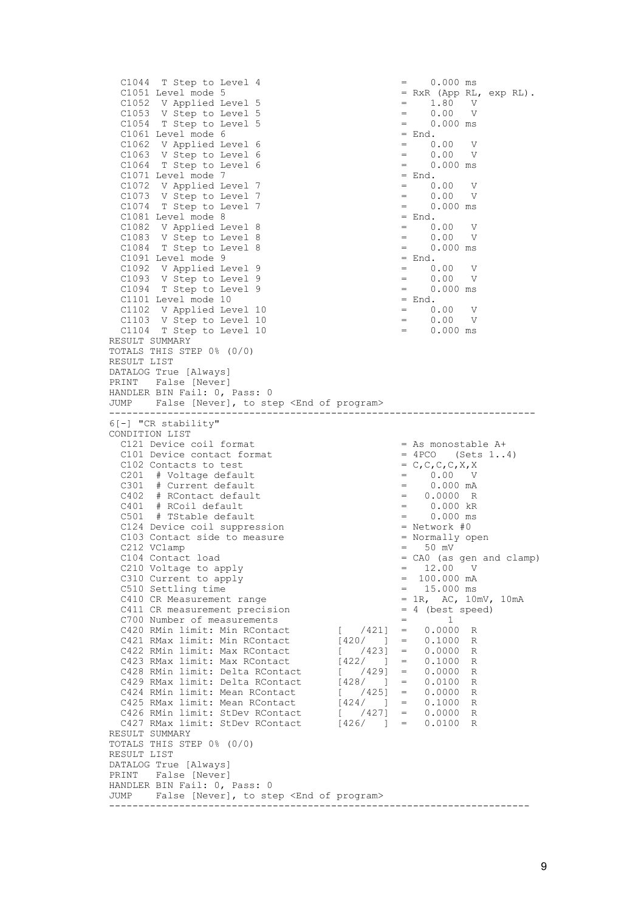```
C1044 T Step to Level 4 = 0.000 ms<br>C1051 Level mode 5 = RxR (App RL,
                                                       = RxR (App RL, exp RL).<br>= 1.80 V<br>= 0.00 V
C1052 V Applied Level 5 \qquad \qquad = \qquad 1.80 V
C1053 V Step to Level 5 \qquad \qquad = \qquad 0.00 \qquad VC1054 T Step to Level 5 = 0.000 ms<br>C1061 Level mode 6 = End.
   C1061 Level mode 6 = End.<br>C1062 V Applied Level 6 = 0.00
   C1062 V Applied Level 6 \begin{array}{rcl} = & 0.00 & V \\ \text{C1063} & V & \text{Step to Level 6} \\ \text{C1064} & T & \text{Step to Level 6} \\ = & 0.000 \text{ ms} \end{array}C1063 V Step to Level 6 = 0.00 V
C1064 T Step to Level 6 = 0.000 ms
   C1071 Level mode 7 = End.<br>C1072 V Applied Level 7 = 0.00C1072 V Applied Level 7 = 0.00<br>C1073 V Step to Level 7 = 0.00<br>C1074 F 31
C1073 V Step to Level 7 = 0.00 V
C1074 T Step to Level 7 = 0.000 ms
   C1081 Level mode 8 = End.<br>C1082 V Applied Level 8 = 0.00
 C1082 V Applied Level 8 = 0.00 V 
C1083 V Step to Level 8 = 0.00 V
C1084 T Step to Level 8 = 0.000 ms
   C1091 Level mode 9 = End.<br>
C1092 V Applied Level 9 = 0.00 V<br>
C1093 V Step to Level 9 = 0.00 V
 C1092 V Applied Level 9 = 0.00 V 
C1093 V Step to Level 9 = 0.00 V
   C1094 T Step to Level 9 = 0.000 ms<br>C1101 Level mode 10 = End.
   C1101 Level mode 10 = End.<br>
C1102 V Applied Level 10 = 0.00 V<br>
C1103 V Step to Level 10 = 0.00 V
 C1102 V Applied Level 10 = 0.00 V 
C1103 V Step to Level 10 = 0.00 V
   C1104 T Step to Level 10 = 0.000 ms
  RESULT SUMMARY 
  TOTALS THIS STEP 0% (0/0) 
  RESULT LIST 
  DATALOG True [Always] 
  PRINT False [Never] 
  HANDLER BIN Fail: 0, Pass: 0 
 JUMP False [Never], to step <End of program>
 ------------------------------------------------------------------------- 
  6[-] "CR stability" 
  CONDITION LIST 
   C121 Device coil format = As monostable A+<br>C101 Device contact format = 4PCO (Sets 1..4)
   C101 Device contact format = 4PCO (Sets 1..4)<br>C102 Contacts to test = C, C, C, C, X, XC102 Contacts to test C201 # Voltage default C301 # Current default C301 = 0.000 mA
   C201 # Voltage default = C301 # Current default = =\# Current default \qquad \qquad = \qquad 0.000 mA<br>\# RContact default \qquad \qquad = \qquad 0.0000 R
   C402 # RContact default C401 # RCoil default C501 # TStable default C501 # TStable default C501 = 0.000 ms
   C401 # RCoil default<br>C501 # TStable defaul
         # TStable default = 0.000 ms<br>Device coil suppression = Network #0
   C124 Device coil suppression C103 Contact side to measure \qquad \qquad = Normally open
   C103 Contact side to measure \begin{array}{rcl} \text{C103} & \text{Continuity} \\ \text{C212} & \text{VClamp} \end{array} = 50 mV
   C212 VClamp<br>C104 Contact load
                                                       = CA0 (as gen and clamp)<br>= 12.00 V
   C210 Voltage to apply \begin{array}{ccc} \text{C210} & \text{Voltag} & \text{C210} \\ \text{C310 Current to apply} & = & 100.000 \text{ mA} \end{array}C310 Current to apply \begin{array}{ccc} 100.000 & \text{mA} \\ -510 & \text{Setting time} \end{array} = 100.000 mA
   C510 Settling time C410 CR Measurement range C410 CR Measurement range D = 18, AC, 10 \text{mV}, 10 \text{mA}C410 CR Measurement range = 1R, AC, 10mV, C411 CR measurement precision = 4 (best speed)
   C411 CR measurement precision = 4 (best C700 Number of measurements = 1
 C700 Number of measurements = 1 
 C420 RMin limit: Min RContact [ /421] = 0.0000 R 
 C421 RMax limit: Min RContact [420/ ] = 0.1000 R 
 C422 RMin limit: Max RContact [ /423] = 0.0000 R 
 C423 RMax limit: Max RContact [422/ ] = 0.1000 R 
 C428 RMin limit: Delta RContact [ /429] = 0.0000 R 
 C429 RMax limit: Delta RContact [428/ ] = 0.0100 R 
 C424 RMin limit: Mean RContact [ /425] = 0.0000 R 
C425 RMax limit: Mean RContact [424/ ] = 0.1000 \text{ R} C426 RMin limit: StDev RContact [ /427] = 0.0000 R 
C427 RMax limit: StDev RContact [426/ ] = 0.0100 R
  RESULT SUMMARY 
  TOTALS THIS STEP 0% (0/0) 
  RESULT LIST 
  DATALOG True [Always] 
  PRINT False [Never] 
  HANDLER BIN Fail: 0, Pass: 0 
  JUMP False [Never], to step <End of program> 
 ------------------------------------------------------------------------
```